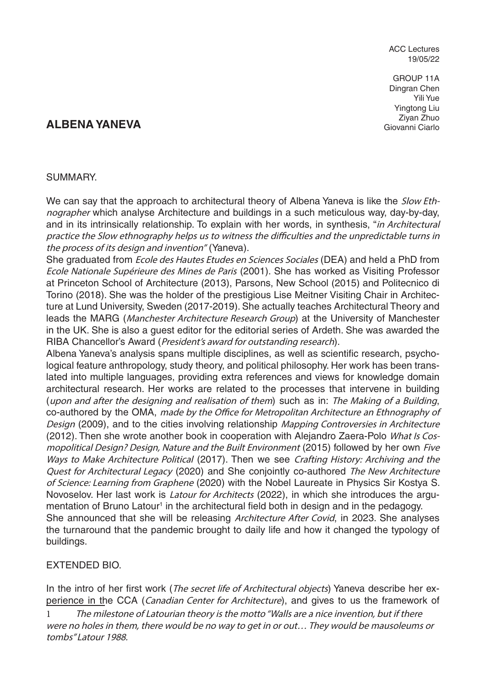ACC Lectures 19/05/22

GROUP 11A Dingran Chen Yili Yue Yingtong Liu Ziyan Zhuo Giovanni Ciarlo

## **ALBENA YANEVA**

## SUMMARY.

We can say that the approach to architectural theory of Albena Yaneva is like the *Slow Eth*nographer which analyse Architecture and buildings in a such meticulous way, day-by-day, and in its intrinsically relationship. To explain with her words, in synthesis, "in Architectural practice the Slow ethnography helps us to witness the difficulties and the unpredictable turns in the process of its design and invention" (Yaneva).

She graduated from Ecole des Hautes Etudes en Sciences Sociales (DEA) and held a PhD from Ecole Nationale Supérieure des Mines de Paris (2001). She has worked as Visiting Professor at Princeton School of Architecture (2013), Parsons, New School (2015) and Politecnico di Torino (2018). She was the holder of the prestigious Lise Meitner Visiting Chair in Architecture at Lund University, Sweden (2017-2019). She actually teaches Architectural Theory and leads the MARG (Manchester Architecture Research Group) at the University of Manchester in the UK. She is also a guest editor for the editorial series of Ardeth. She was awarded the RIBA Chancellor's Award (President's award for outstanding research).

Albena Yaneva's analysis spans multiple disciplines, as well as scientific research, psychological feature anthropology, study theory, and political philosophy. Her work has been translated into multiple languages, providing extra references and views for knowledge domain architectural research. Her works are related to the processes that intervene in building (upon and after the designing and realisation of them) such as in: The Making of a Building, co-authored by the OMA, made by the Office for Metropolitan Architecture an Ethnography of Design (2009), and to the cities involving relationship Mapping Controversies in Architecture (2012). Then she wrote another book in cooperation with Alejandro Zaera-Polo What Is Cosmopolitical Design? Design, Nature and the Built Environment (2015) followed by her own Five Ways to Make Architecture Political (2017). Then we see Crafting History: Archiving and the Quest for Architectural Legacy (2020) and She conjointly co-authored The New Architecture of Science: Learning from Graphene (2020) with the Nobel Laureate in Physics Sir Kostya S. Novoselov. Her last work is *Latour for Architects* (2022), in which she introduces the argumentation of Bruno Latour<sup>1</sup> in the architectural field both in design and in the pedagogy. She announced that she will be releasing *Architecture After Covid*, in 2023. She analyses the turnaround that the pandemic brought to daily life and how it changed the typology of buildings.

## EXTENDED BIO.

In the intro of her first work (*The secret life of Architectural objects*) Yaneva describe her experience in the CCA (Canadian Center for Architecture), and gives to us the framework of

1 The milestone of Latourian theory is the motto "Walls are a nice invention, but if there were no holes in them, there would be no way to get in or out… They would be mausoleums or tombs" Latour 1988.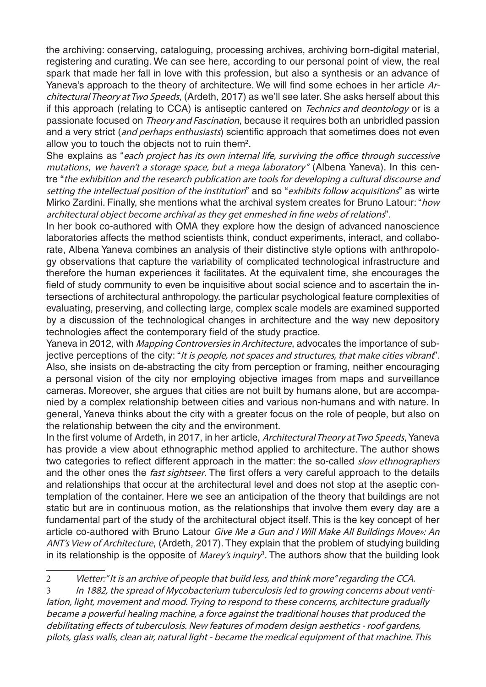the archiving: conserving, cataloguing, processing archives, archiving born-digital material, registering and curating. We can see here, according to our personal point of view, the real spark that made her fall in love with this profession, but also a synthesis or an advance of Yaneva's approach to the theory of architecture. We will find some echoes in her article Architectural Theory at Two Speeds, (Ardeth, 2017) as we'll see later. She asks herself about this if this approach (relating to CCA) is antiseptic cantered on *Technics and deontology* or is a passionate focused on Theory and Fascination, because it requires both an unbridled passion and a very strict (and perhaps enthusiasts) scientific approach that sometimes does not even allow you to touch the objects not to ruin them<sup>2</sup>.

She explains as "each project has its own internal life, surviving the office through successive mutations, we haven't a storage space, but a mega laboratory" (Albena Yaneva). In this centre "the exhibition and the research publication are tools for developing a cultural discourse and setting the intellectual position of the institution" and so "exhibits follow acquisitions" as wirte Mirko Zardini. Finally, she mentions what the archival system creates for Bruno Latour: "how architectural object become archival as they get enmeshed in fine webs of relations".

In her book co-authored with OMA they explore how the design of advanced nanoscience laboratories affects the method scientists think, conduct experiments, interact, and collaborate, Albena Yaneva combines an analysis of their distinctive style options with anthropology observations that capture the variability of complicated technological infrastructure and therefore the human experiences it facilitates. At the equivalent time, she encourages the field of study community to even be inquisitive about social science and to ascertain the intersections of architectural anthropology. the particular psychological feature complexities of evaluating, preserving, and collecting large, complex scale models are examined supported by a discussion of the technological changes in architecture and the way new depository technologies affect the contemporary field of the study practice.

Yaneva in 2012, with Mapping Controversies in Architecture, advocates the importance of subjective perceptions of the city: "It is people, not spaces and structures, that make cities vibrant". Also, she insists on de-abstracting the city from perception or framing, neither encouraging a personal vision of the city nor employing objective images from maps and surveillance cameras. Moreover, she argues that cities are not built by humans alone, but are accompanied by a complex relationship between cities and various non-humans and with nature. In general, Yaneva thinks about the city with a greater focus on the role of people, but also on the relationship between the city and the environment.

In the first volume of Ardeth, in 2017, in her article, Architectural Theory at Two Speeds, Yaneva has provide a view about ethnographic method applied to architecture. The author shows two categories to reflect different approach in the matter: the so-called *slow ethnographers* and the other ones the *fast sightseer*. The first offers a very careful approach to the details and relationships that occur at the architectural level and does not stop at the aseptic contemplation of the container. Here we see an anticipation of the theory that buildings are not static but are in continuous motion, as the relationships that involve them every day are a fundamental part of the study of the architectural object itself. This is the key concept of her article co-authored with Bruno Latour Give Me a Gun and I Will Make All Buildings Move»: An ANT's View of Architecture, (Ardeth, 2017). They explain that the problem of studying building in its relationship is the opposite of *Marey's inquiry*<sup>3</sup>. The authors show that the building look

<sup>2</sup> Vletter:" It is an archive of people that build less, and think more" regarding the CCA.

<sup>3</sup> In 1882, the spread of Mycobacterium tuberculosis led to growing concerns about ventilation, light, movement and mood. Trying to respond to these concerns, architecture gradually became a powerful healing machine, a force against the traditional houses that produced the debilitating effects of tuberculosis. New features of modern design aesthetics - roof gardens, pilots, glass walls, clean air, natural light - became the medical equipment of that machine. This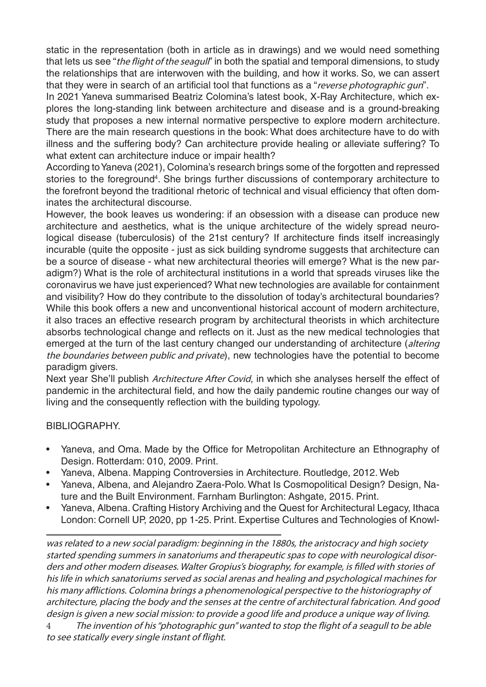static in the representation (both in article as in drawings) and we would need something that lets us see "the flight of the seagull" in both the spatial and temporal dimensions, to study the relationships that are interwoven with the building, and how it works. So, we can assert that they were in search of an artificial tool that functions as a "reverse photographic gun".

In 2021 Yaneva summarised Beatriz Colomina's latest book, X-Ray Architecture, which explores the long-standing link between architecture and disease and is a ground-breaking study that proposes a new internal normative perspective to explore modern architecture. There are the main research questions in the book: What does architecture have to do with illness and the suffering body? Can architecture provide healing or alleviate suffering? To what extent can architecture induce or impair health?

According to Yaneva (2021), Colomina's research brings some of the forgotten and repressed stories to the foreground<sup>4</sup>. She brings further discussions of contemporary architecture to the forefront beyond the traditional rhetoric of technical and visual efficiency that often dominates the architectural discourse.

However, the book leaves us wondering: if an obsession with a disease can produce new architecture and aesthetics, what is the unique architecture of the widely spread neurological disease (tuberculosis) of the 21st century? If architecture finds itself increasingly incurable (quite the opposite - just as sick building syndrome suggests that architecture can be a source of disease - what new architectural theories will emerge? What is the new paradigm?) What is the role of architectural institutions in a world that spreads viruses like the coronavirus we have just experienced? What new technologies are available for containment and visibility? How do they contribute to the dissolution of today's architectural boundaries? While this book offers a new and unconventional historical account of modern architecture, it also traces an effective research program by architectural theorists in which architecture absorbs technological change and reflects on it. Just as the new medical technologies that emerged at the turn of the last century changed our understanding of architecture (altering the boundaries between public and private), new technologies have the potential to become paradigm givers.

Next year She'll publish Architecture After Covid, in which she analyses herself the effect of pandemic in the architectural field, and how the daily pandemic routine changes our way of living and the consequently reflection with the building typology.

## BIBLIOGRAPHY.

- Yaneva, and Oma. Made by the Office for Metropolitan Architecture an Ethnography of Design. Rotterdam: 010, 2009. Print.
- Yaneva, Albena. Mapping Controversies in Architecture. Routledge, 2012. Web
- Yaneva, Albena, and Alejandro Zaera-Polo. What Is Cosmopolitical Design? Design, Nature and the Built Environment. Farnham Burlington: Ashgate, 2015. Print.
- Yaneva, Albena. Crafting History Archiving and the Quest for Architectural Legacy, Ithaca London: Cornell UP, 2020, pp 1-25. Print. Expertise Cultures and Technologies of Knowl-

was related to a new social paradigm: beginning in the 1880s, the aristocracy and high society started spending summers in sanatoriums and therapeutic spas to cope with neurological disorders and other modern diseases. Walter Gropius's biography, for example, is filled with stories of his life in which sanatoriums served as social arenas and healing and psychological machines for his many afflictions. Colomina brings a phenomenological perspective to the historiography of architecture, placing the body and the senses at the centre of architectural fabrication. And good design is given a new social mission: to provide a good life and produce a unique way of living.

4 The invention of his "photographic gun" wanted to stop the flight of a seagull to be able to see statically every single instant of flight.